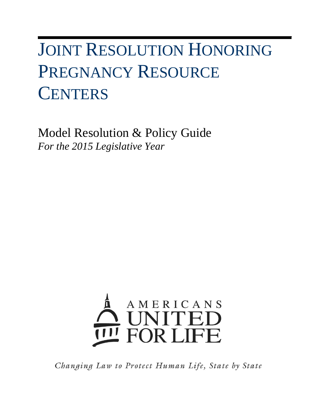# JOINT RESOLUTION HONORING PREGNANCY RESOURCE **CENTERS**

Model Resolution & Policy Guide *For the 2015 Legislative Year*



Changing Law to Protect Human Life, State by State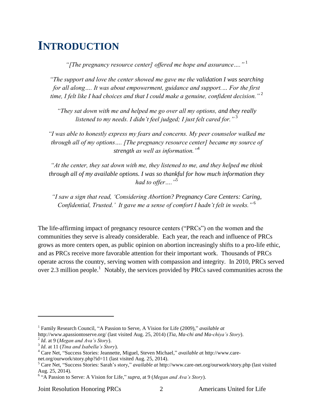### **INTRODUCTION**

*"[The pregnancy resource center] offered me hope and assurance…."* <sup>1</sup>

*"The support and love the center showed me gave me the validation I was searching for all along…. It was about empowerment, guidance and support.… For the first time, I felt like I had choices and that I could make a genuine, confident decision."* <sup>2</sup>

*"They sat down with me and helped me go over all my options, and they really listened to my needs. I didn't feel judged; I just felt cared for."* <sup>3</sup>

*"I was able to honestly express my fears and concerns. My peer counselor walked me through all of my options…. [The pregnancy resource center] became my source of strength as well as information."*<sup>4</sup>

*"At the center, they sat down with me, they listened to me, and they helped me think through all of my available options. I was so thankful for how much information they had to offer…."*<sup>5</sup>

*"I saw a sign that read, 'Considering Abortion? Pregnancy Care Centers: Caring, Confidential, Trusted.' It gave me a sense of comfort I hadn't felt in weeks."* <sup>6</sup>

The life-affirming impact of pregnancy resource centers ("PRCs") on the women and the communities they serve is already considerable. Each year, the reach and influence of PRCs grows as more centers open, as public opinion on abortion increasingly shifts to a pro-life ethic, and as PRCs receive more favorable attention for their important work. Thousands of PRCs operate across the country, serving women with compassion and integrity. In 2010, PRCs served over 2.3 million people.<sup>1</sup> Notably, the services provided by PRCs saved communities across the

 $\overline{\phantom{a}}$ 

Joint Resolution Honoring PRCs 2 Americans United for Life

<sup>&</sup>lt;sup>1</sup> Family Research Council, "A Passion to Serve, A Vision for Life (2009)," *available at* http://www.apassiontoserve.org/ (last visited Aug. 25, 2014) (*Tia, Ma-chi and Ma-chiya's Story*).

<sup>2</sup> *Id*. at 9 (*Megan and Ava's Story*).

<sup>3</sup> *Id*. at 11 (*Tina and Isabella's Story*).

<sup>4</sup> Care Net, "Success Stories: Jeannette, Miguel, Steven Michael," *available a*t http://www.carenet.org/ourwork/story.php?id=11 (last visited Aug. 25, 2014).

<sup>5</sup> Care Net, "Success Stories: Sarah's story," *available at* http://www.care-net.org/ourwork/story.php (last visited Aug. 25, 2014).

<sup>6</sup> "A Passion to Serve: A Vision for Life," *supra*, at 9 (*Megan and Ava's Story*).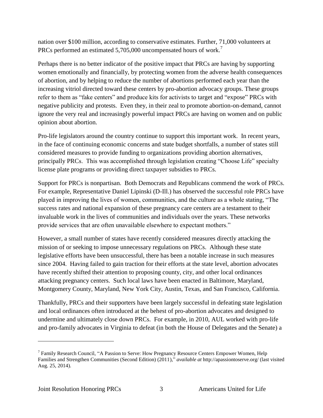nation over \$100 million, according to conservative estimates. Further, 71,000 volunteers at PRCs performed an estimated 5,705,000 uncompensated hours of work.<sup>7</sup>

Perhaps there is no better indicator of the positive impact that PRCs are having by supporting women emotionally and financially, by protecting women from the adverse health consequences of abortion, and by helping to reduce the number of abortions performed each year than the increasing vitriol directed toward these centers by pro-abortion advocacy groups. These groups refer to them as "fake centers" and produce kits for activists to target and "expose" PRCs with negative publicity and protests. Even they, in their zeal to promote abortion-on-demand, cannot ignore the very real and increasingly powerful impact PRCs are having on women and on public opinion about abortion.

Pro-life legislators around the country continue to support this important work. In recent years, in the face of continuing economic concerns and state budget shortfalls, a number of states still considered measures to provide funding to organizations providing abortion alternatives, principally PRCs. This was accomplished through legislation creating "Choose Life" specialty license plate programs or providing direct taxpayer subsidies to PRCs.

Support for PRCs is nonpartisan. Both Democrats and Republicans commend the work of PRCs. For example, Representative Daniel Lipinski (D-Ill.) has observed the successful role PRCs have played in improving the lives of women, communities, and the culture as a whole stating, "The success rates and national expansion of these pregnancy care centers are a testament to their invaluable work in the lives of communities and individuals over the years. These networks provide services that are often unavailable elsewhere to expectant mothers."

However, a small number of states have recently considered measures directly attacking the mission of or seeking to impose unnecessary regulations on PRCs. Although these state legislative efforts have been unsuccessful, there has been a notable increase in such measures since 2004. Having failed to gain traction for their efforts at the state level, abortion advocates have recently shifted their attention to proposing county, city, and other local ordinances attacking pregnancy centers. Such local laws have been enacted in Baltimore, Maryland, Montgomery County, Maryland, New York City, Austin, Texas, and San Francisco, California.

Thankfully, PRCs and their supporters have been largely successful in defeating state legislation and local ordinances often introduced at the behest of pro-abortion advocates and designed to undermine and ultimately close down PRCs. For example, in 2010, AUL worked with pro-life and pro-family advocates in Virginia to defeat (in both the House of Delegates and the Senate) a

 $\overline{a}$ 

<sup>&</sup>lt;sup>7</sup> Family Research Council, "A Passion to Serve: How Pregnancy Resource Centers Empower Women, Help Families and Strengthen Communities (Second Edition) (2011)," *available at* http://apassiontoserve.org/ (last visited Aug. 25, 2014).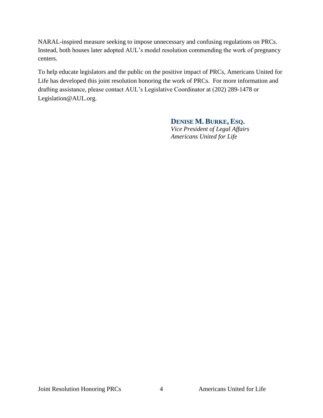NARAL-inspired measure seeking to impose unnecessary and confusing regulations on PRCs. Instead, both houses later adopted AUL's model resolution commending the work of pregnancy centers.

To help educate legislators and the public on the positive impact of PRCs, Americans United for Life has developed this joint resolution honoring the work of PRCs. For more information and drafting assistance, please contact AUL's Legislative Coordinator at (202) 289-1478 or Legislation@AUL.org.

### **DENISE M. BURKE, ESQ.**

*Vice President of Legal Affairs Americans United for Life*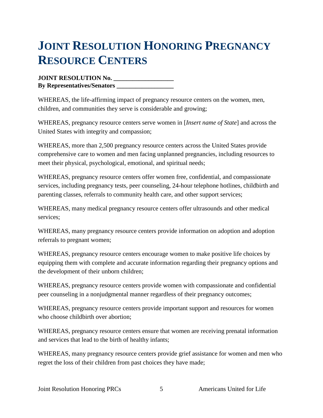## **JOINT RESOLUTION HONORING PREGNANCY RESOURCE CENTERS**

**JOINT RESOLUTION No. \_\_\_\_\_\_\_\_\_\_\_\_\_\_\_\_\_\_\_ By Representatives/Senators \_\_\_\_\_\_\_\_\_\_\_\_\_\_\_\_\_\_**

WHEREAS, the life-affirming impact of pregnancy resource centers on the women, men, children, and communities they serve is considerable and growing;

WHEREAS, pregnancy resource centers serve women in [*Insert name of State*] and across the United States with integrity and compassion;

WHEREAS, more than 2,500 pregnancy resource centers across the United States provide comprehensive care to women and men facing unplanned pregnancies, including resources to meet their physical, psychological, emotional, and spiritual needs;

WHEREAS, pregnancy resource centers offer women free, confidential, and compassionate services, including pregnancy tests, peer counseling, 24-hour telephone hotlines, childbirth and parenting classes, referrals to community health care, and other support services;

WHEREAS, many medical pregnancy resource centers offer ultrasounds and other medical services;

WHEREAS, many pregnancy resource centers provide information on adoption and adoption referrals to pregnant women;

WHEREAS, pregnancy resource centers encourage women to make positive life choices by equipping them with complete and accurate information regarding their pregnancy options and the development of their unborn children;

WHEREAS, pregnancy resource centers provide women with compassionate and confidential peer counseling in a nonjudgmental manner regardless of their pregnancy outcomes;

WHEREAS, pregnancy resource centers provide important support and resources for women who choose childbirth over abortion:

WHEREAS, pregnancy resource centers ensure that women are receiving prenatal information and services that lead to the birth of healthy infants;

WHEREAS, many pregnancy resource centers provide grief assistance for women and men who regret the loss of their children from past choices they have made;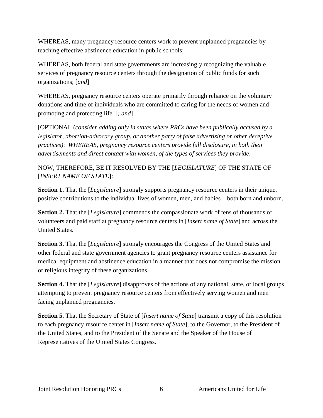WHEREAS, many pregnancy resource centers work to prevent unplanned pregnancies by teaching effective abstinence education in public schools;

WHEREAS, both federal and state governments are increasingly recognizing the valuable services of pregnancy resource centers through the designation of public funds for such organizations; [*and*]

WHEREAS, pregnancy resource centers operate primarily through reliance on the voluntary donations and time of individuals who are committed to caring for the needs of women and promoting and protecting life. [*; and*]

[OPTIONAL (*consider adding only in states where PRCs have been publically accused by a legislator, abortion-advocacy group, or another party of false advertising or other deceptive practices)*: *WHEREAS, pregnancy resource centers provide full disclosure, in both their advertisements and direct contact with women, of the types of services they provide*.]

NOW, THEREFORE, BE IT RESOLVED BY THE [*LEGISLATURE*] OF THE STATE OF [*INSERT NAME OF STATE*]:

**Section 1.** That the [*Legislature*] strongly supports pregnancy resource centers in their unique, positive contributions to the individual lives of women, men, and babies—both born and unborn.

**Section 2.** That the [*Legislature*] commends the compassionate work of tens of thousands of volunteers and paid staff at pregnancy resource centers in [*Insert name of State*] and across the United States.

**Section 3.** That the [*Legislature*] strongly encourages the Congress of the United States and other federal and state government agencies to grant pregnancy resource centers assistance for medical equipment and abstinence education in a manner that does not compromise the mission or religious integrity of these organizations.

**Section 4.** That the [*Legislature*] disapproves of the actions of any national, state, or local groups attempting to prevent pregnancy resource centers from effectively serving women and men facing unplanned pregnancies.

**Section 5.** That the Secretary of State of [*Insert name of State*] transmit a copy of this resolution to each pregnancy resource center in [*Insert name of State*], to the Governor, to the President of the United States, and to the President of the Senate and the Speaker of the House of Representatives of the United States Congress.